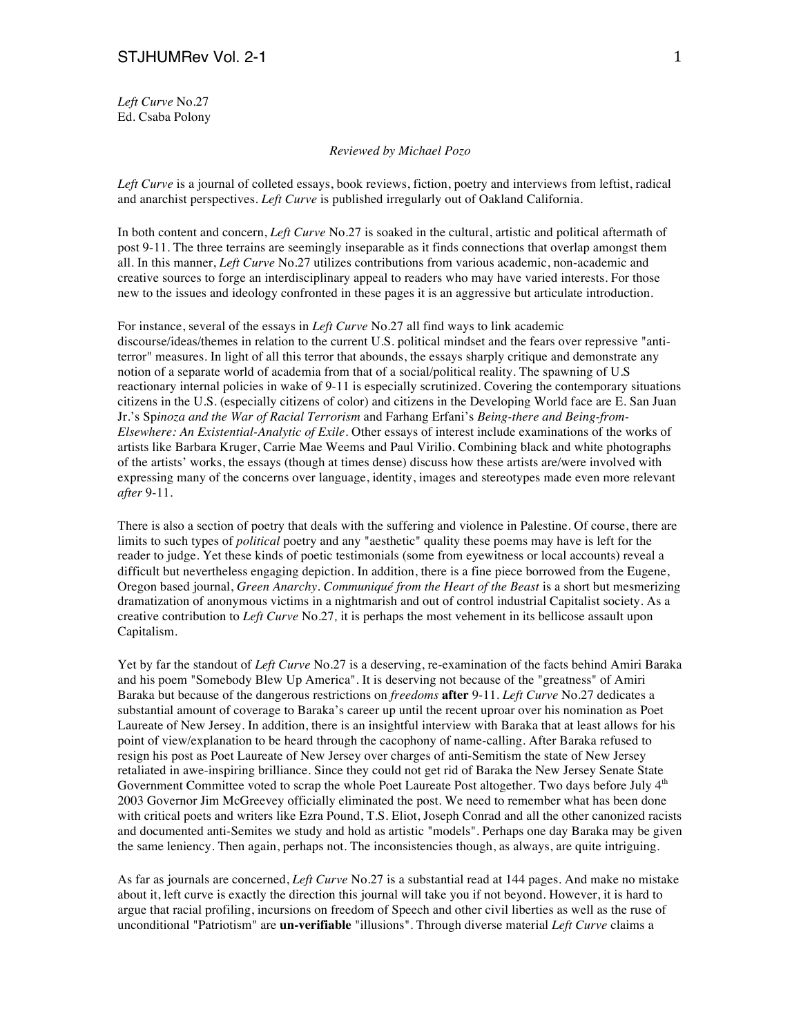*Left Curve* No.27 Ed. Csaba Polony

*Reviewed by Michael Pozo*

*Left Curve* is a journal of colleted essays, book reviews, fiction, poetry and interviews from leftist, radical and anarchist perspectives. *Left Curve* is published irregularly out of Oakland California.

In both content and concern, *Left Curve* No.27 is soaked in the cultural, artistic and political aftermath of post 9-11. The three terrains are seemingly inseparable as it finds connections that overlap amongst them all. In this manner, *Left Curve* No.27 utilizes contributions from various academic, non-academic and creative sources to forge an interdisciplinary appeal to readers who may have varied interests. For those new to the issues and ideology confronted in these pages it is an aggressive but articulate introduction.

For instance, several of the essays in *Left Curve* No*.*27 all find ways to link academic discourse/ideas/themes in relation to the current U.S. political mindset and the fears over repressive "antiterror" measures. In light of all this terror that abounds, the essays sharply critique and demonstrate any notion of a separate world of academia from that of a social/political reality. The spawning of U.S reactionary internal policies in wake of 9-11 is especially scrutinized. Covering the contemporary situations citizens in the U.S. (especially citizens of color) and citizens in the Developing World face are E. San Juan Jr.'s Sp*inoza and the War of Racial Terrorism* and Farhang Erfani's *Being-there and Being-from-Elsewhere: An Existential-Analytic of Exile*. Other essays of interest include examinations of the works of artists like Barbara Kruger, Carrie Mae Weems and Paul Virilio. Combining black and white photographs of the artists' works, the essays (though at times dense) discuss how these artists are/were involved with expressing many of the concerns over language, identity, images and stereotypes made even more relevant *after* 9-11.

There is also a section of poetry that deals with the suffering and violence in Palestine. Of course, there are limits to such types of *political* poetry and any "aesthetic" quality these poems may have is left for the reader to judge. Yet these kinds of poetic testimonials (some from eyewitness or local accounts) reveal a difficult but nevertheless engaging depiction. In addition, there is a fine piece borrowed from the Eugene, Oregon based journal, *Green Anarchy*. *Communiqué from the Heart of the Beast* is a short but mesmerizing dramatization of anonymous victims in a nightmarish and out of control industrial Capitalist society. As a creative contribution to *Left Curve* No.27*,* it is perhaps the most vehement in its bellicose assault upon Capitalism.

Yet by far the standout of *Left Curve* No.27 is a deserving, re-examination of the facts behind Amiri Baraka and his poem "Somebody Blew Up America". It is deserving not because of the "greatness" of Amiri Baraka but because of the dangerous restrictions on *freedoms* **after** 9-11. *Left Curve* No.27 dedicates a substantial amount of coverage to Baraka's career up until the recent uproar over his nomination as Poet Laureate of New Jersey. In addition, there is an insightful interview with Baraka that at least allows for his point of view/explanation to be heard through the cacophony of name-calling. After Baraka refused to resign his post as Poet Laureate of New Jersey over charges of anti-Semitism the state of New Jersey retaliated in awe-inspiring brilliance. Since they could not get rid of Baraka the New Jersey Senate State Government Committee voted to scrap the whole Poet Laureate Post altogether. Two days before July  $4<sup>th</sup>$ 2003 Governor Jim McGreevey officially eliminated the post. We need to remember what has been done with critical poets and writers like Ezra Pound, T.S. Eliot, Joseph Conrad and all the other canonized racists and documented anti-Semites we study and hold as artistic "models". Perhaps one day Baraka may be given the same leniency. Then again, perhaps not. The inconsistencies though, as always, are quite intriguing.

As far as journals are concerned, *Left Curve* No.27 is a substantial read at 144 pages. And make no mistake about it, left curve is exactly the direction this journal will take you if not beyond. However, it is hard to argue that racial profiling, incursions on freedom of Speech and other civil liberties as well as the ruse of unconditional "Patriotism" are **un-verifiable** "illusions". Through diverse material *Left Curve* claims a